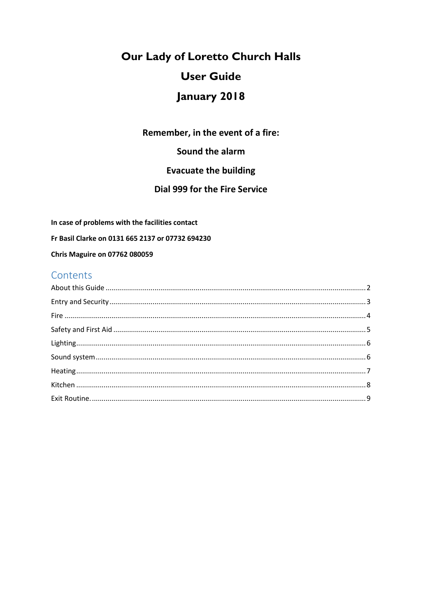# Our Lady of Loretto Church Halls **User Guide** January 2018

Remember, in the event of a fire:

Sound the alarm

# **Evacuate the building**

### Dial 999 for the Fire Service

In case of problems with the facilities contact

Fr Basil Clarke on 0131 665 2137 or 07732 694230

**Chris Maguire on 07762 080059** 

# Contents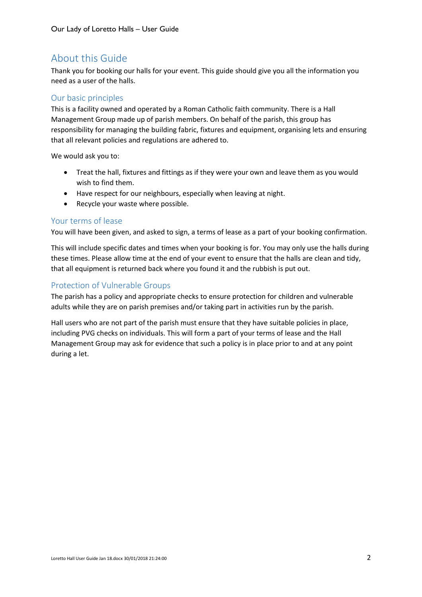# <span id="page-1-0"></span>About this Guide

Thank you for booking our halls for your event. This guide should give you all the information you need as a user of the halls.

#### Our basic principles

This is a facility owned and operated by a Roman Catholic faith community. There is a Hall Management Group made up of parish members. On behalf of the parish, this group has responsibility for managing the building fabric, fixtures and equipment, organising lets and ensuring that all relevant policies and regulations are adhered to.

We would ask you to:

- Treat the hall, fixtures and fittings as if they were your own and leave them as you would wish to find them.
- Have respect for our neighbours, especially when leaving at night.
- Recycle your waste where possible.

#### Your terms of lease

You will have been given, and asked to sign, a terms of lease as a part of your booking confirmation.

This will include specific dates and times when your booking is for. You may only use the halls during these times. Please allow time at the end of your event to ensure that the halls are clean and tidy, that all equipment is returned back where you found it and the rubbish is put out.

#### Protection of Vulnerable Groups

The parish has a policy and appropriate checks to ensure protection for children and vulnerable adults while they are on parish premises and/or taking part in activities run by the parish.

Hall users who are not part of the parish must ensure that they have suitable policies in place, including PVG checks on individuals. This will form a part of your terms of lease and the Hall Management Group may ask for evidence that such a policy is in place prior to and at any point during a let.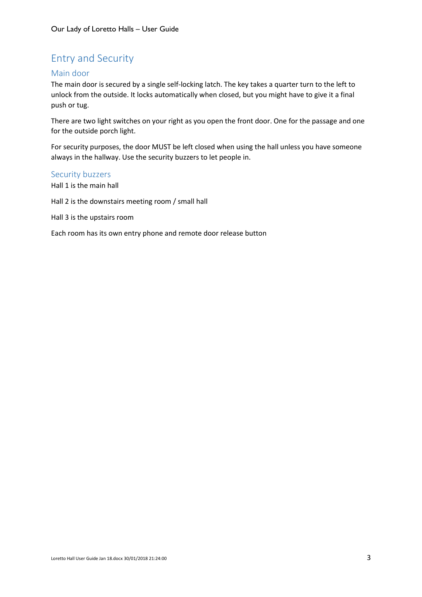# <span id="page-2-0"></span>Entry and Security

#### Main door

The main door is secured by a single self-locking latch. The key takes a quarter turn to the left to unlock from the outside. It locks automatically when closed, but you might have to give it a final push or tug.

There are two light switches on your right as you open the front door. One for the passage and one for the outside porch light.

For security purposes, the door MUST be left closed when using the hall unless you have someone always in the hallway. Use the security buzzers to let people in.

#### Security buzzers

Hall 1 is the main hall

Hall 2 is the downstairs meeting room / small hall

Hall 3 is the upstairs room

Each room has its own entry phone and remote door release button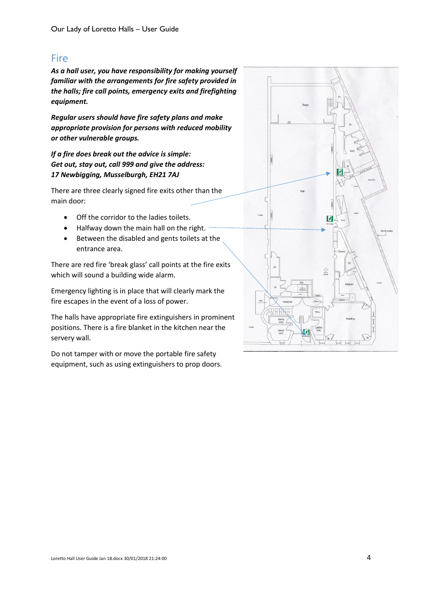# <span id="page-3-0"></span>**Fire**

*As a hall user, you have responsibility for making yourself familiar with the arrangements for fire safety provided in the halls; fire call points, emergency exits and firefighting equipment.*

*Regular users should have fire safety plans and make appropriate provision for persons with reduced mobility or other vulnerable groups.*

*If a fire does break out the advice is simple: Get out, stay out, call 999 and give the address: 17 Newbigging, Musselburgh, EH21 7AJ*

There are three clearly signed fire exits other than the main door:

- Off the corridor to the ladies toilets.
- Halfway down the main hall on the right.
- Between the disabled and gents toilets at the entrance area.

There are red fire 'break glass' call points at the fire exits which will sound a building wide alarm.

Emergency lighting is in place that will clearly mark the fire escapes in the event of a loss of power.

The halls have appropriate fire extinguishers in prominent positions. There is a fire blanket in the kitchen near the servery wall.

Do not tamper with or move the portable fire safety equipment, such as using extinguishers to prop doors.

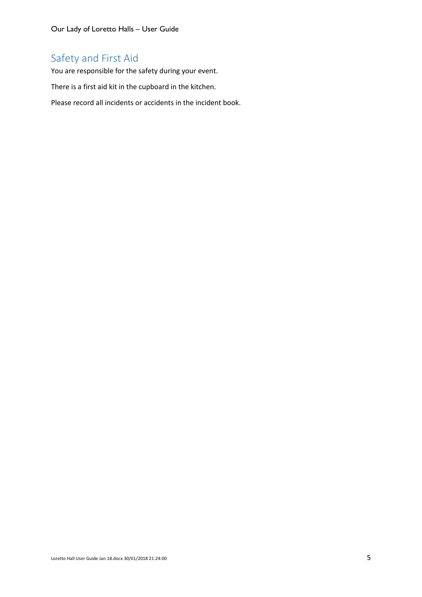Our Lady of Loretto Halls – User Guide

# <span id="page-4-0"></span>Safety and First Aid

You are responsible for the safety during your event.

There is a first aid kit in the cupboard in the kitchen.

Please record all incidents or accidents in the incident book.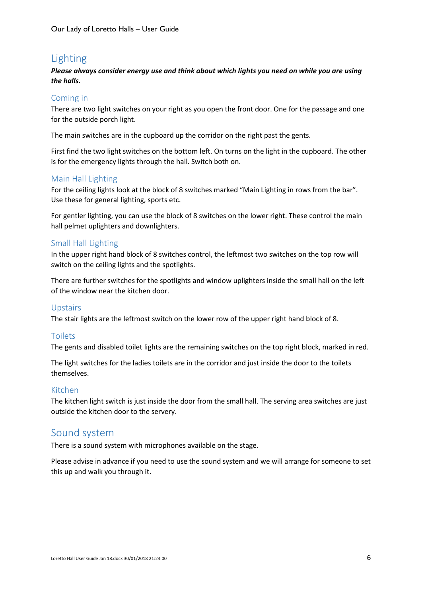# <span id="page-5-0"></span>Lighting

#### *Please always consider energy use and think about which lights you need on while you are using the halls.*

#### Coming in

There are two light switches on your right as you open the front door. One for the passage and one for the outside porch light.

The main switches are in the cupboard up the corridor on the right past the gents.

First find the two light switches on the bottom left. On turns on the light in the cupboard. The other is for the emergency lights through the hall. Switch both on.

#### Main Hall Lighting

For the ceiling lights look at the block of 8 switches marked "Main Lighting in rows from the bar". Use these for general lighting, sports etc.

For gentler lighting, you can use the block of 8 switches on the lower right. These control the main hall pelmet uplighters and downlighters.

#### Small Hall Lighting

In the upper right hand block of 8 switches control, the leftmost two switches on the top row will switch on the ceiling lights and the spotlights.

There are further switches for the spotlights and window uplighters inside the small hall on the left of the window near the kitchen door.

#### Upstairs

The stair lights are the leftmost switch on the lower row of the upper right hand block of 8.

#### Toilets

The gents and disabled toilet lights are the remaining switches on the top right block, marked in red.

The light switches for the ladies toilets are in the corridor and just inside the door to the toilets themselves.

#### Kitchen

The kitchen light switch is just inside the door from the small hall. The serving area switches are just outside the kitchen door to the servery.

# <span id="page-5-1"></span>Sound system

There is a sound system with microphones available on the stage.

Please advise in advance if you need to use the sound system and we will arrange for someone to set this up and walk you through it.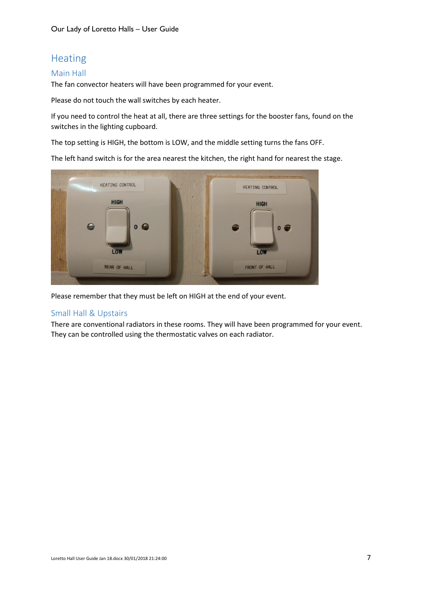# <span id="page-6-0"></span>Heating

#### Main Hall

The fan convector heaters will have been programmed for your event.

Please do not touch the wall switches by each heater.

If you need to control the heat at all, there are three settings for the booster fans, found on the switches in the lighting cupboard.

The top setting is HIGH, the bottom is LOW, and the middle setting turns the fans OFF.

The left hand switch is for the area nearest the kitchen, the right hand for nearest the stage.



Please remember that they must be left on HIGH at the end of your event.

#### Small Hall & Upstairs

There are conventional radiators in these rooms. They will have been programmed for your event. They can be controlled using the thermostatic valves on each radiator.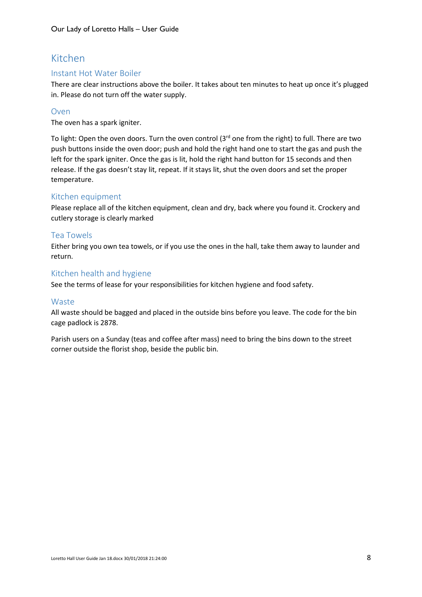# <span id="page-7-0"></span>Kitchen

#### Instant Hot Water Boiler

There are clear instructions above the boiler. It takes about ten minutes to heat up once it's plugged in. Please do not turn off the water supply.

#### Oven

The oven has a spark igniter.

To light: Open the oven doors. Turn the oven control (3<sup>rd</sup> one from the right) to full. There are two push buttons inside the oven door; push and hold the right hand one to start the gas and push the left for the spark igniter. Once the gas is lit, hold the right hand button for 15 seconds and then release. If the gas doesn't stay lit, repeat. If it stays lit, shut the oven doors and set the proper temperature.

#### Kitchen equipment

Please replace all of the kitchen equipment, clean and dry, back where you found it. Crockery and cutlery storage is clearly marked

#### Tea Towels

Either bring you own tea towels, or if you use the ones in the hall, take them away to launder and return.

#### Kitchen health and hygiene

See the terms of lease for your responsibilities for kitchen hygiene and food safety.

#### Waste

All waste should be bagged and placed in the outside bins before you leave. The code for the bin cage padlock is 2878.

Parish users on a Sunday (teas and coffee after mass) need to bring the bins down to the street corner outside the florist shop, beside the public bin.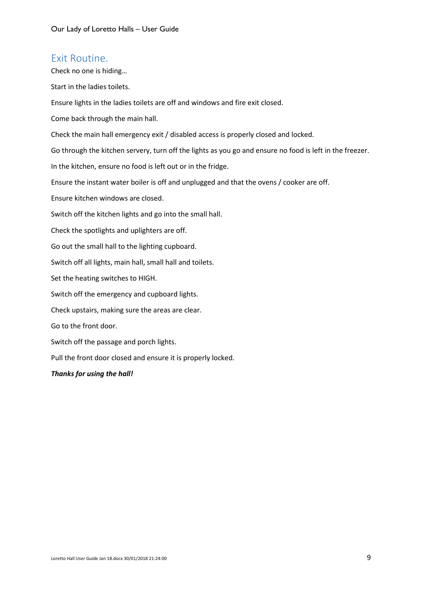### <span id="page-8-0"></span>Exit Routine.

Check no one is hiding…

Start in the ladies toilets.

Ensure lights in the ladies toilets are off and windows and fire exit closed.

Come back through the main hall.

Check the main hall emergency exit / disabled access is properly closed and locked.

Go through the kitchen servery, turn off the lights as you go and ensure no food is left in the freezer.

In the kitchen, ensure no food is left out or in the fridge.

Ensure the instant water boiler is off and unplugged and that the ovens / cooker are off.

Ensure kitchen windows are closed.

Switch off the kitchen lights and go into the small hall.

Check the spotlights and uplighters are off.

Go out the small hall to the lighting cupboard.

Switch off all lights, main hall, small hall and toilets.

Set the heating switches to HIGH.

Switch off the emergency and cupboard lights.

Check upstairs, making sure the areas are clear.

Go to the front door.

Switch off the passage and porch lights.

Pull the front door closed and ensure it is properly locked.

#### *Thanks for using the hall!*